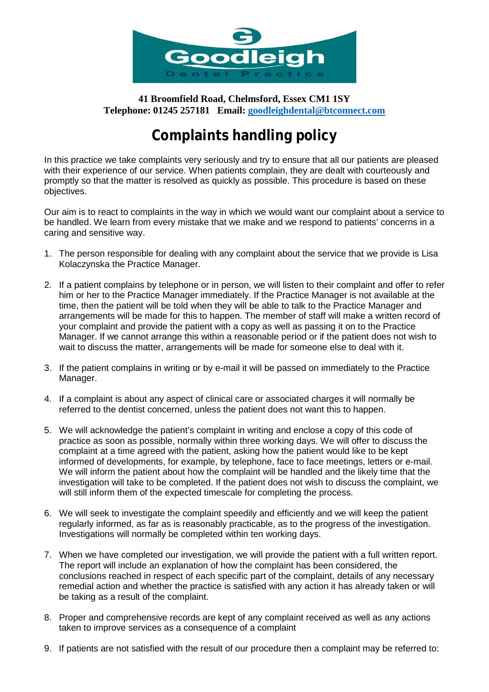

**41 Broomfield Road, Chelmsford, Essex CM1 1SY Telephone: 01245 257181 Email: [goodleighdental@btconnect.com](mailto:goodleighdental@btconnect.com)**

## **Complaints handling policy**

In this practice we take complaints very seriously and try to ensure that all our patients are pleased with their experience of our service. When patients complain, they are dealt with courteously and promptly so that the matter is resolved as quickly as possible. This procedure is based on these objectives.

Our aim is to react to complaints in the way in which we would want our complaint about a service to be handled. We learn from every mistake that we make and we respond to patients' concerns in a caring and sensitive way.

- 1. The person responsible for dealing with any complaint about the service that we provide is Lisa Kolaczynska the Practice Manager.
- 2. If a patient complains by telephone or in person, we will listen to their complaint and offer to refer him or her to the Practice Manager immediately. If the Practice Manager is not available at the time, then the patient will be told when they will be able to talk to the Practice Manager and arrangements will be made for this to happen. The member of staff will make a written record of your complaint and provide the patient with a copy as well as passing it on to the Practice Manager. If we cannot arrange this within a reasonable period or if the patient does not wish to wait to discuss the matter, arrangements will be made for someone else to deal with it.
- 3. If the patient complains in writing or by e-mail it will be passed on immediately to the Practice Manager.
- 4. If a complaint is about any aspect of clinical care or associated charges it will normally be referred to the dentist concerned, unless the patient does not want this to happen.
- 5. We will acknowledge the patient's complaint in writing and enclose a copy of this code of practice as soon as possible, normally within three working days. We will offer to discuss the complaint at a time agreed with the patient, asking how the patient would like to be kept informed of developments, for example, by telephone, face to face meetings, letters or e-mail. We will inform the patient about how the complaint will be handled and the likely time that the investigation will take to be completed. If the patient does not wish to discuss the complaint, we will still inform them of the expected timescale for completing the process.
- 6. We will seek to investigate the complaint speedily and efficiently and we will keep the patient regularly informed, as far as is reasonably practicable, as to the progress of the investigation. Investigations will normally be completed within ten working days.
- 7. When we have completed our investigation, we will provide the patient with a full written report. The report will include an explanation of how the complaint has been considered, the conclusions reached in respect of each specific part of the complaint, details of any necessary remedial action and whether the practice is satisfied with any action it has already taken or will be taking as a result of the complaint.
- 8. Proper and comprehensive records are kept of any complaint received as well as any actions taken to improve services as a consequence of a complaint
- 9. If patients are not satisfied with the result of our procedure then a complaint may be referred to: